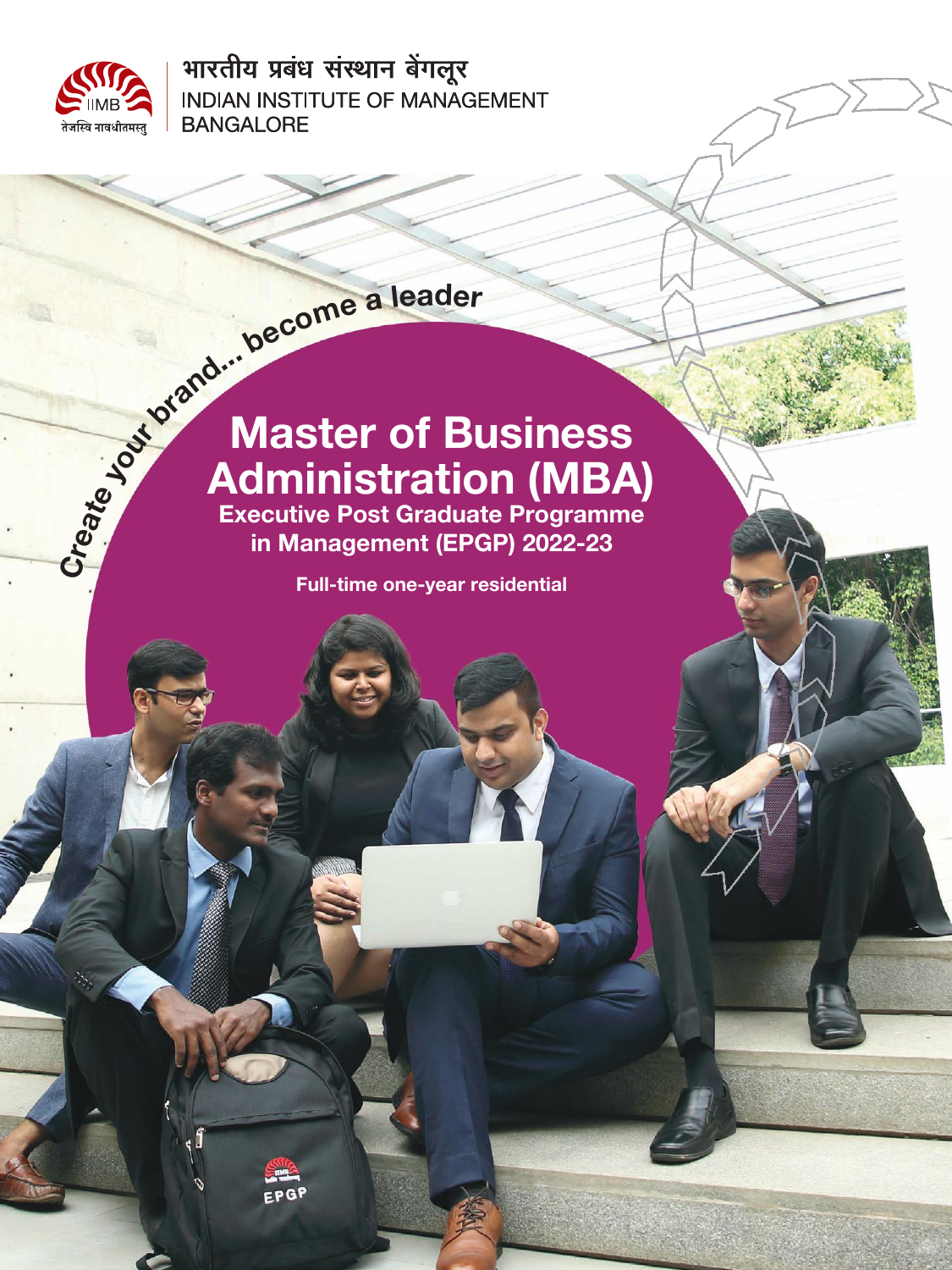

**C**

भारतीय प्रबंध संस्थान बेंगलूर **INDIAN INSTITUTE OF MANAGEMENT BANGALORE** 

# **Master of Business Administration (MBA) Executive Post Graduate Programme Master of Bureal Property of Bureal Property of Bureal Property Security Post Gradual in Management (EPG)**

**in Management (EPGP) 2022-23**

**Full-time one-year residential**

EPGP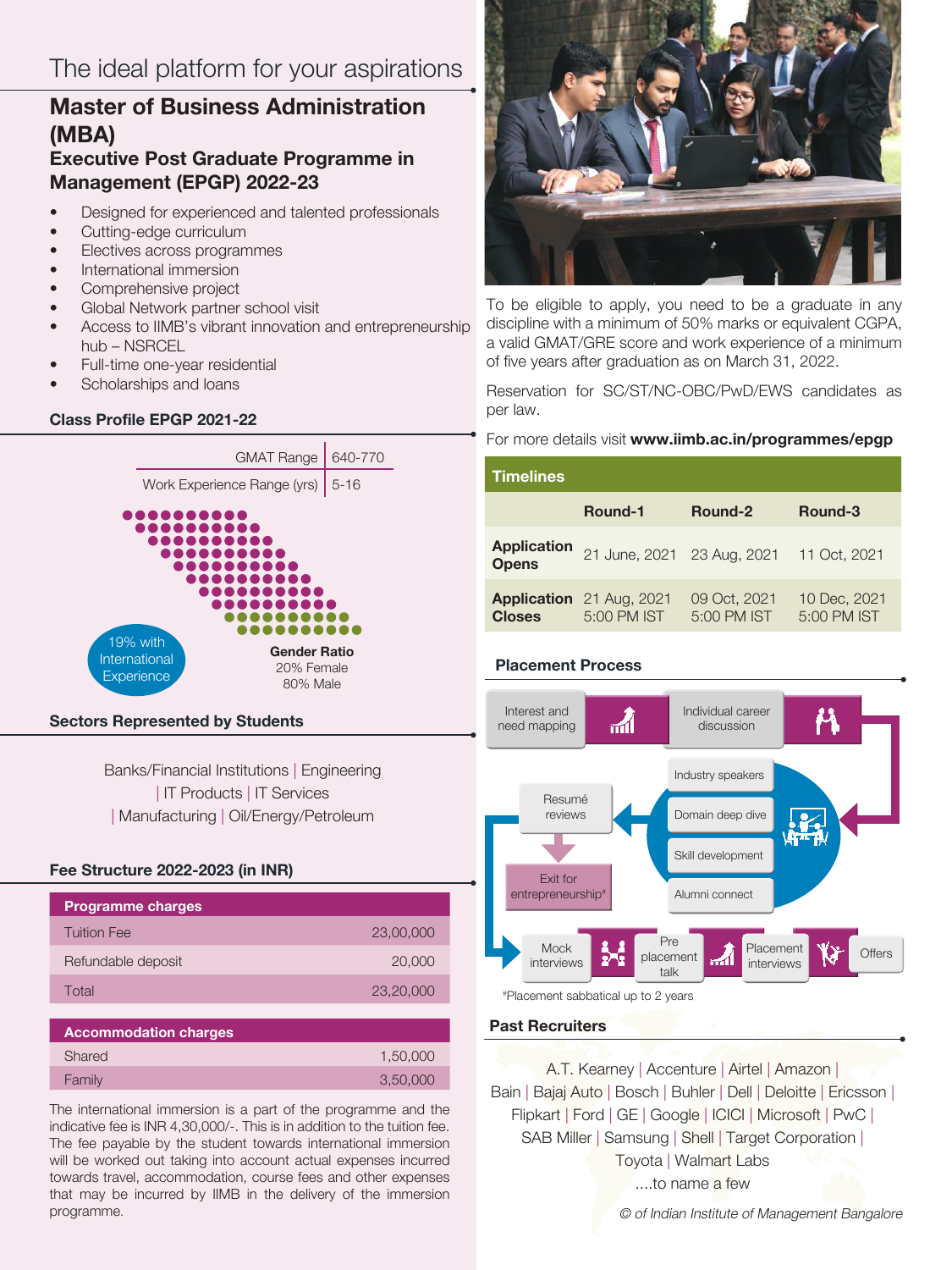# The ideal platform for your aspirations

## **Master of Business Administration (MBA) Executive Post Graduate Programme in Management (EPGP) 2022-23**

- Designed for experienced and talented professionals
- Cutting-edge curriculum
- Electives across programmes
- International immersion
- Comprehensive project
- Global Network partner school visit
- Access to IIMB's vibrant innovation and entrepreneurship hub – NSRCEL
- Full-time one-year residential
- Scholarships and loans

### **Class Profile EPGP 2021-22**



### **Sectors Represented by Students**

Banks/Financial Institutions | Engineering | IT Products | IT Services | Manufacturing | Oil/Energy/Petroleum

### **Fee Structure 2022-2023 (in INR)**

| <b>Programme charges</b>     |           |
|------------------------------|-----------|
| <b>Tuition Fee</b>           | 23,00,000 |
| Refundable deposit           | 20,000    |
| Total                        | 23,20,000 |
|                              |           |
| <b>Accommodation charges</b> |           |
| Shared                       | 1,50,000  |

The international immersion is a part of the programme and the indicative fee is INR 4,30,000/-. This is in addition to the tuition fee. The fee payable by the student towards international immersion will be worked out taking into account actual expenses incurred towards travel, accommodation, course fees and other expenses that may be incurred by IIMB in the delivery of the immersion programme.

Family 3,50,000



To be eligible to apply, you need to be a graduate in any discipline with a minimum of 50% marks or equivalent CGPA, a valid GMAT/GRE score and work experience of a minimum of five years after graduation as on March 31, 2022.

Reservation for SC/ST/NC-OBC/PwD/EWS candidates as per law.

#### For more details visit **www.iimb.ac.in/programmes/epgp**

| <b>Timelines</b>                   |                                                |                             |                             |  |  |  |  |  |
|------------------------------------|------------------------------------------------|-----------------------------|-----------------------------|--|--|--|--|--|
|                                    | Round-1                                        | Round-2                     | Round-3                     |  |  |  |  |  |
| <b>Application</b><br><b>Opens</b> | 21 June, 2021 23 Aug, 2021                     |                             | 11 Oct, 2021                |  |  |  |  |  |
| <b>Closes</b>                      | <b>Application</b> 21 Aug, 2021<br>5:00 PM IST | 09 Oct. 2021<br>5:00 PM IST | 10 Dec, 2021<br>5:00 PM IST |  |  |  |  |  |

### **Placement Process**



### **Past Recruiters**

A.T. Kearney | Accenture | Airtel | Amazon | Bain | Bajaj Auto | Bosch | Buhler | Dell | Deloitte | Ericsson | Flipkart | Ford | GE | Google | ICICI | Microsoft | PwC | SAB Miller | Samsung | Shell | Target Corporation | Toyota | Walmart Labs ....to name a few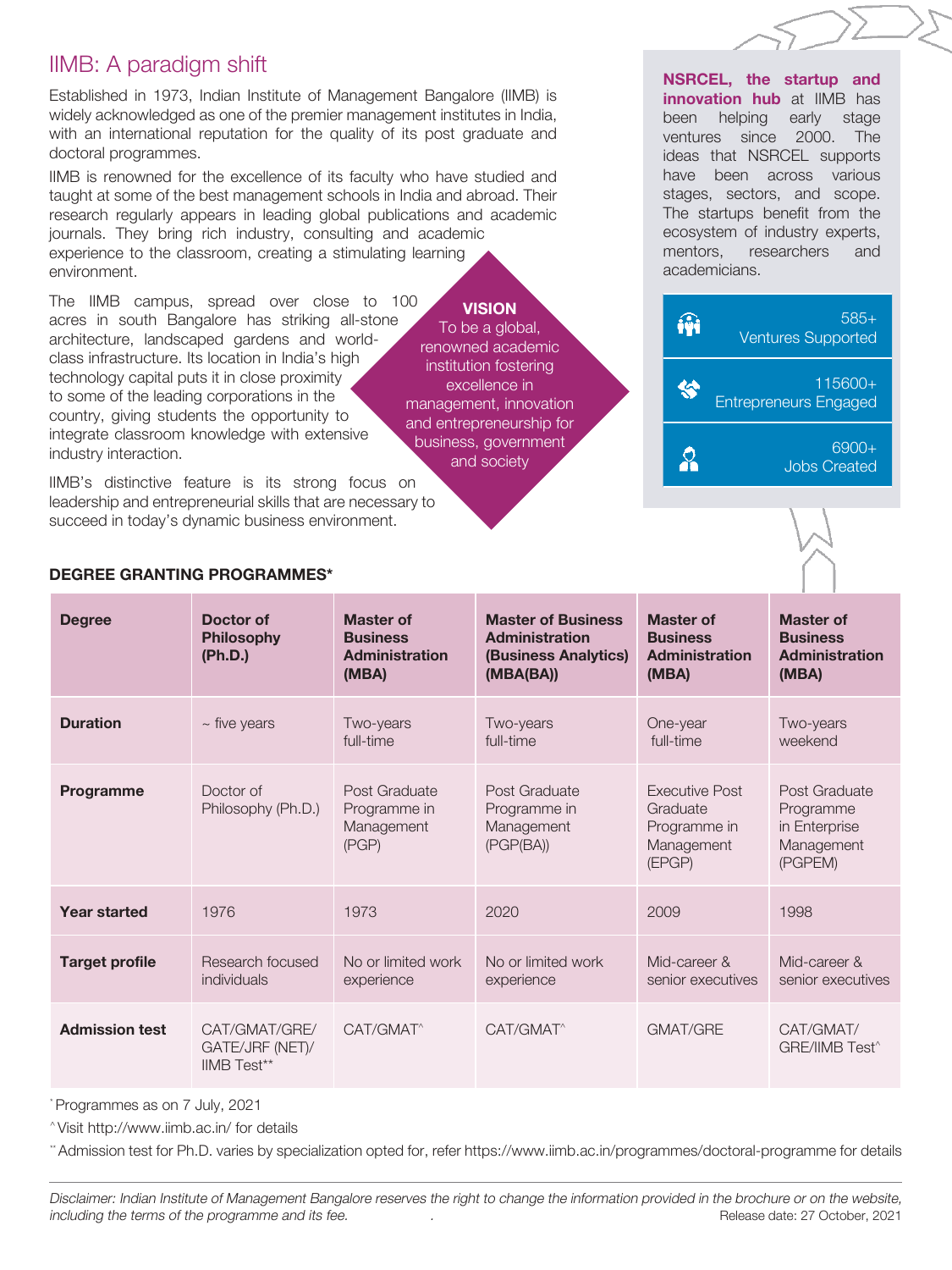# IIMB: A paradigm shift

Established in 1973, Indian Institute of Management Bangalore (IIMB) is widely acknowledged as one of the premier management institutes in India, with an international reputation for the quality of its post graduate and doctoral programmes.

IIMB is renowned for the excellence of its faculty who have studied and taught at some of the best management schools in India and abroad. Their research regularly appears in leading global publications and academic journals. They bring rich industry, consulting and academic experience to the classroom, creating a stimulating learning environment.

The IIMB campus, spread over close to 100 acres in south Bangalore has striking all-stone architecture, landscaped gardens and worldclass infrastructure. Its location in India's high technology capital puts it in close proximity to some of the leading corporations in the country, giving students the opportunity to integrate classroom knowledge with extensive industry interaction.

IIMB's distinctive feature is its strong focus on leadership and entrepreneurial skills that are necessary to succeed in today's dynamic business environment.

**VISION** To be a global, renowned academic institution fostering excellence in management, innovation and entrepreneurship for business, government and society

**NSRCEL, the startup and innovation hub** at IIMB has been helping early stage ventures since 2000. The ideas that NSRCEL supports have been across various stages, sectors, and scope. The startups benefit from the ecosystem of industry experts, mentors, researchers and academicians.



| <b>DEGREE GRANTING PROGRAMMES*</b> |                                                        |                                                                       |                                                                                         |                                                                           |                                                                       |  |
|------------------------------------|--------------------------------------------------------|-----------------------------------------------------------------------|-----------------------------------------------------------------------------------------|---------------------------------------------------------------------------|-----------------------------------------------------------------------|--|
| <b>Degree</b>                      | Doctor of<br><b>Philosophy</b><br>(Ph.D.)              | <b>Master of</b><br><b>Business</b><br><b>Administration</b><br>(MBA) | <b>Master of Business</b><br><b>Administration</b><br>(Business Analytics)<br>(MBA(BA)) | <b>Master of</b><br><b>Business</b><br><b>Administration</b><br>(MBA)     | <b>Master of</b><br><b>Business</b><br><b>Administration</b><br>(MBA) |  |
| <b>Duration</b>                    | $\sim$ five years                                      | Two-years<br>full-time                                                | Two-years<br>full-time                                                                  | One-year<br>full-time                                                     | Two-years<br>weekend                                                  |  |
| <b>Programme</b>                   | Doctor of<br>Philosophy (Ph.D.)                        | Post Graduate<br>Programme in<br>Management<br>(PGP)                  | Post Graduate<br>Programme in<br>Management<br>(PGP(BA))                                | <b>Executive Post</b><br>Graduate<br>Programme in<br>Management<br>(EPGP) | Post Graduate<br>Programme<br>in Enterprise<br>Management<br>(PGPEM)  |  |
| <b>Year started</b>                | 1976                                                   | 1973                                                                  | 2020                                                                                    | 2009                                                                      | 1998                                                                  |  |
| <b>Target profile</b>              | Research focused<br>individuals                        | No or limited work<br>experience                                      | No or limited work<br>experience                                                        | Mid-career &<br>senior executives                                         | Mid-career &<br>senior executives                                     |  |
| <b>Admission test</b>              | CAT/GMAT/GRE/<br>GATE/JRF (NET)/<br><b>IIMB</b> Test** | CAT/GMAT <sup>^</sup>                                                 | CAT/GMAT <sup>^</sup>                                                                   | <b>GMAT/GRE</b>                                                           | CAT/GMAT/<br><b>GRE/IIMB Test</b> <sup>^</sup>                        |  |

\* Programmes as on 7 July, 2021

^ Visit http://www.iimb.ac.in/ for details

\*\* Admission test for Ph.D. varies by specialization opted for, refer https://www.iimb.ac.in/programmes/doctoral-programme for details

Disclaimer: Indian Institute of Management Bangalore reserves the right to change the information provided in the brochure or on the website, including the terms of the programme and its fee. . Release date: 27 October, 2021